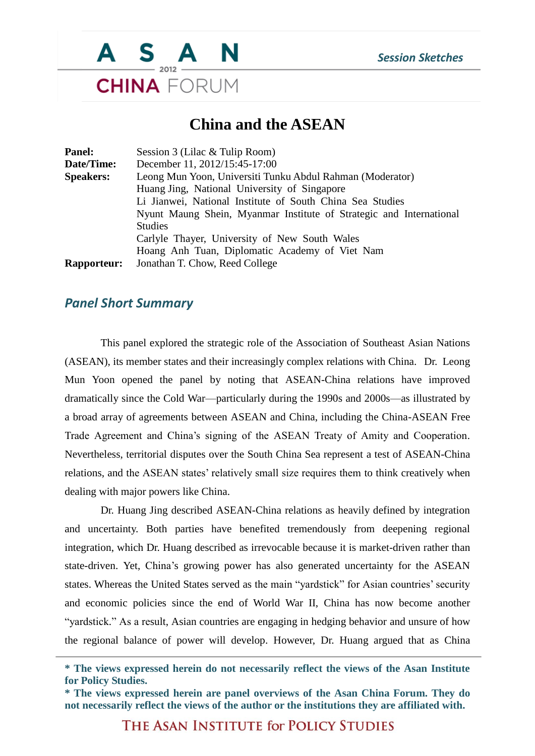

## **China and the ASEAN**

| Panel:             | Session 3 (Lilac & Tulip Room)                                      |
|--------------------|---------------------------------------------------------------------|
| Date/Time:         | December 11, 2012/15:45-17:00                                       |
| <b>Speakers:</b>   | Leong Mun Yoon, Universiti Tunku Abdul Rahman (Moderator)           |
|                    | Huang Jing, National University of Singapore                        |
|                    | Li Jianwei, National Institute of South China Sea Studies           |
|                    | Nyunt Maung Shein, Myanmar Institute of Strategic and International |
|                    | <b>Studies</b>                                                      |
|                    | Carlyle Thayer, University of New South Wales                       |
|                    | Hoang Anh Tuan, Diplomatic Academy of Viet Nam                      |
| <b>Rapporteur:</b> | Jonathan T. Chow, Reed College                                      |

## *Panel Short Summary*

This panel explored the strategic role of the Association of Southeast Asian Nations (ASEAN), its member states and their increasingly complex relations with China. Dr. Leong Mun Yoon opened the panel by noting that ASEAN-China relations have improved dramatically since the Cold War—particularly during the 1990s and 2000s—as illustrated by a broad array of agreements between ASEAN and China, including the China-ASEAN Free Trade Agreement and China's signing of the ASEAN Treaty of Amity and Cooperation. Nevertheless, territorial disputes over the South China Sea represent a test of ASEAN-China relations, and the ASEAN states' relatively small size requires them to think creatively when dealing with major powers like China.

Dr. Huang Jing described ASEAN-China relations as heavily defined by integration and uncertainty. Both parties have benefited tremendously from deepening regional integration, which Dr. Huang described as irrevocable because it is market-driven rather than state-driven. Yet, China's growing power has also generated uncertainty for the ASEAN states. Whereas the United States served as the main "yardstick" for Asian countries' security and economic policies since the end of World War II, China has now become another "yardstick." As a result, Asian countries are engaging in hedging behavior and unsure of how the regional balance of power will develop. However, Dr. Huang argued that as China

THE ASAN INSTITUTE for POLICY STUDIES

**<sup>\*</sup> The views expressed herein do not necessarily reflect the views of the Asan Institute for Policy Studies.**

**<sup>\*</sup> The views expressed herein are panel overviews of the Asan China Forum. They do not necessarily reflect the views of the author or the institutions they are affiliated with.**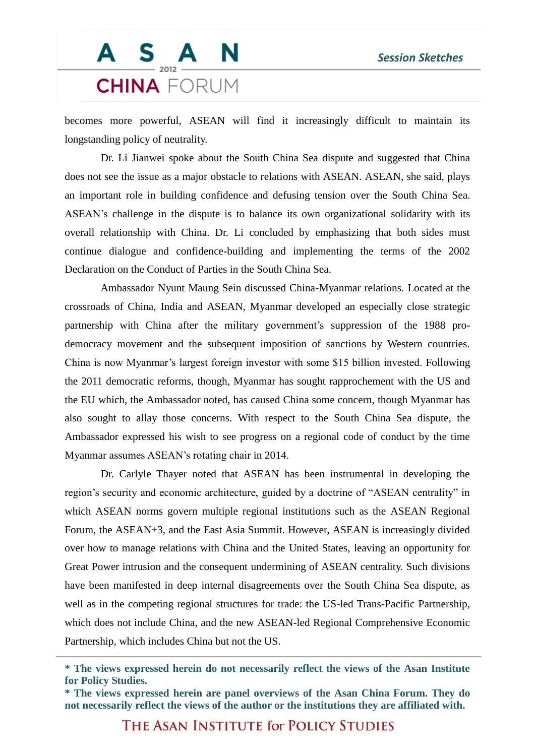## S A N **CHINA** FORUM

becomes more powerful, ASEAN will find it increasingly difficult to maintain its longstanding policy of neutrality.

Dr. Li Jianwei spoke about the South China Sea dispute and suggested that China does not see the issue as a major obstacle to relations with ASEAN. ASEAN, she said, plays an important role in building confidence and defusing tension over the South China Sea. ASEAN's challenge in the dispute is to balance its own organizational solidarity with its overall relationship with China. Dr. Li concluded by emphasizing that both sides must continue dialogue and confidence-building and implementing the terms of the 2002 Declaration on the Conduct of Parties in the South China Sea.

Ambassador Nyunt Maung Sein discussed China-Myanmar relations. Located at the crossroads of China, India and ASEAN, Myanmar developed an especially close strategic partnership with China after the military government's suppression of the 1988 prodemocracy movement and the subsequent imposition of sanctions by Western countries. China is now Myanmar's largest foreign investor with some \$15 billion invested. Following the 2011 democratic reforms, though, Myanmar has sought rapprochement with the US and the EU which, the Ambassador noted, has caused China some concern, though Myanmar has also sought to allay those concerns. With respect to the South China Sea dispute, the Ambassador expressed his wish to see progress on a regional code of conduct by the time Myanmar assumes ASEAN's rotating chair in 2014.

Dr. Carlyle Thayer noted that ASEAN has been instrumental in developing the region's security and economic architecture, guided by a doctrine of "ASEAN centrality" in which ASEAN norms govern multiple regional institutions such as the ASEAN Regional Forum, the ASEAN+3, and the East Asia Summit. However, ASEAN is increasingly divided over how to manage relations with China and the United States, leaving an opportunity for Great Power intrusion and the consequent undermining of ASEAN centrality. Such divisions have been manifested in deep internal disagreements over the South China Sea dispute, as well as in the competing regional structures for trade: the US-led Trans-Pacific Partnership, which does not include China, and the new ASEAN-led Regional Comprehensive Economic Partnership, which includes China but not the US.

THE ASAN INSTITUTE for POLICY STUDIES

**<sup>\*</sup> The views expressed herein do not necessarily reflect the views of the Asan Institute for Policy Studies.**

**<sup>\*</sup> The views expressed herein are panel overviews of the Asan China Forum. They do not necessarily reflect the views of the author or the institutions they are affiliated with.**